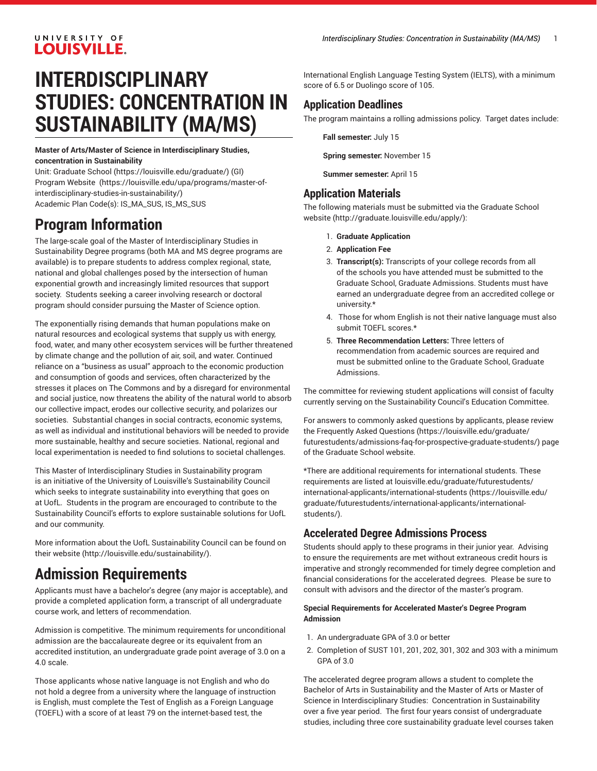## UNIVERSITY OF **LOUISVILLE.**

# **INTERDISCIPLINARY STUDIES: CONCENTRATION IN SUSTAINABILITY (MA/MS)**

**Master of Arts/Master of Science in Interdisciplinary Studies, concentration in Sustainability**

Unit: [Graduate School \(https://louisville.edu/graduate/](https://louisville.edu/graduate/)) (GI) Program [Website \(https://louisville.edu/upa/programs/master-of](https://louisville.edu/upa/programs/master-of-interdisciplinary-studies-in-sustainability/)[interdisciplinary-studies-in-sustainability/\)](https://louisville.edu/upa/programs/master-of-interdisciplinary-studies-in-sustainability/) Academic Plan Code(s): IS\_MA\_SUS, IS\_MS\_SUS

# **Program Information**

The large-scale goal of the Master of Interdisciplinary Studies in Sustainability Degree programs (both MA and MS degree programs are available) is to prepare students to address complex regional, state, national and global challenges posed by the intersection of human exponential growth and increasingly limited resources that support society. Students seeking a career involving research or doctoral program should consider pursuing the Master of Science option.

The exponentially rising demands that human populations make on natural resources and ecological systems that supply us with energy, food, water, and many other ecosystem services will be further threatened by climate change and the pollution of air, soil, and water. Continued reliance on a "business as usual" approach to the economic production and consumption of goods and services, often characterized by the stresses it places on The Commons and by a disregard for environmental and social justice, now threatens the ability of the natural world to absorb our collective impact, erodes our collective security, and polarizes our societies. Substantial changes in social contracts, economic systems, as well as individual and institutional behaviors will be needed to provide more sustainable, healthy and secure societies. National, regional and local experimentation is needed to find solutions to societal challenges.

This Master of Interdisciplinary Studies in Sustainability program is an initiative of the University of Louisville's Sustainability Council which seeks to integrate sustainability into everything that goes on at UofL. Students in the program are encouraged to contribute to the Sustainability Council's efforts to explore sustainable solutions for UofL and our community.

More information about the UofL Sustainability Council can be found on their [website](http://louisville.edu/sustainability/) (<http://louisville.edu/sustainability/>).

# **Admission Requirements**

Applicants must have a bachelor's degree (any major is acceptable), and provide a completed application form, a transcript of all undergraduate course work, and letters of recommendation.

Admission is competitive. The minimum requirements for unconditional admission are the baccalaureate degree or its equivalent from an accredited institution, an undergraduate grade point average of 3.0 on a 4.0 scale.

Those applicants whose native language is not English and who do not hold a degree from a university where the language of instruction is English, must complete the Test of English as a Foreign Language (TOEFL) with a score of at least 79 on the internet-based test, the

International English Language Testing System (IELTS), with a minimum score of 6.5 or Duolingo score of 105.

# **Application Deadlines**

The program maintains a rolling admissions policy. Target dates include:

**Fall semester:** July 15

**Spring semester:** November 15

**Summer semester:** April 15

#### **Application Materials**

The following materials must be submitted via [the Graduate School](http://graduate.louisville.edu/apply/) [website](http://graduate.louisville.edu/apply/) [\(http://graduate.louisville.edu/apply/\)](http://graduate.louisville.edu/apply/):

- 1. **Graduate Application**
- 2. **Application Fee**
- 3. **Transcript(s):** Transcripts of your college records from all of the schools you have attended must be submitted to the Graduate School, Graduate Admissions. Students must have earned an undergraduate degree from an accredited college or university.\*
- 4. Those for whom English is not their native language must also submit TOEFL scores.\*
- 5. **Three Recommendation Letters:** Three letters of recommendation from academic sources are required and must be submitted online to the Graduate School, Graduate Admissions.

The committee for reviewing student applications will consist of faculty currently serving on the Sustainability Council's Education Committee.

For answers to commonly asked questions by applicants, please review the [Frequently](https://louisville.edu/graduate/futurestudents/admissions-faq-for-prospective-graduate-students/) Asked Questions [\(https://louisville.edu/graduate/](https://louisville.edu/graduate/futurestudents/admissions-faq-for-prospective-graduate-students/) [futurestudents/admissions-faq-for-prospective-graduate-students/](https://louisville.edu/graduate/futurestudents/admissions-faq-for-prospective-graduate-students/)) page of the Graduate School website.

\*There are additional requirements for international students. These requirements are listed at [louisville.edu/graduate/futurestudents/](https://louisville.edu/graduate/futurestudents/international-applicants/international-students/) [international-applicants/international-students](https://louisville.edu/graduate/futurestudents/international-applicants/international-students/) ([https://louisville.edu/](https://louisville.edu/graduate/futurestudents/international-applicants/international-students/) [graduate/futurestudents/international-applicants/international](https://louisville.edu/graduate/futurestudents/international-applicants/international-students/)[students/](https://louisville.edu/graduate/futurestudents/international-applicants/international-students/)).

### **Accelerated Degree Admissions Process**

Students should apply to these programs in their junior year. Advising to ensure the requirements are met without extraneous credit hours is imperative and strongly recommended for timely degree completion and financial considerations for the accelerated degrees. Please be sure to consult with advisors and the director of the master's program.

#### **Special Requirements for Accelerated Master's Degree Program Admission**

- 1. An undergraduate GPA of 3.0 or better
- 2. Completion of SUST 101, 201, 202, 301, 302 and 303 with a minimum GPA of 3.0

The accelerated degree program allows a student to complete the Bachelor of Arts in Sustainability and the Master of Arts or Master of Science in Interdisciplinary Studies: Concentration in Sustainability over a five year period. The first four years consist of undergraduate studies, including three core sustainability graduate level courses taken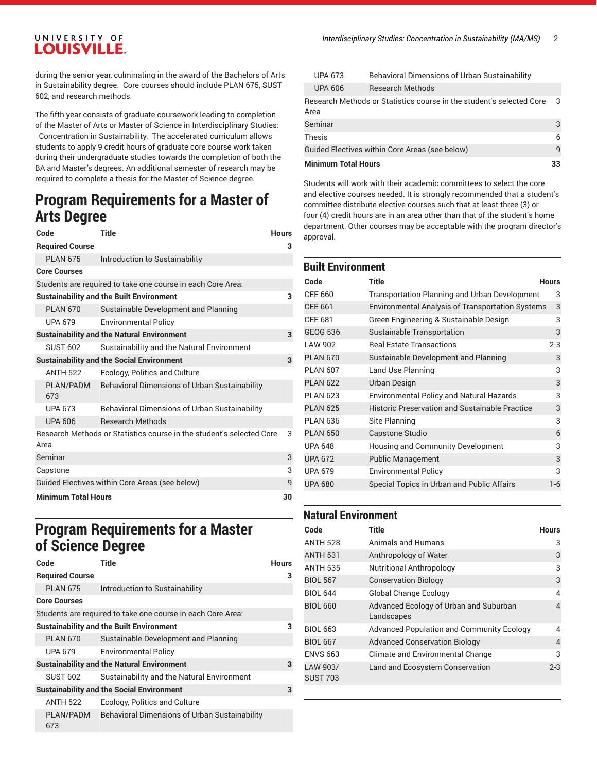## UNIVERSITY OF **LOUISVILLE.**

during the senior year, culminating in the award of the Bachelors of Arts in Sustainability degree. Core courses should include PLAN 675, SUST 602, and research methods.

The fifth year consists of graduate coursework leading to completion

of the Master of Arts or Master of Science in Interdisciplinary Studies: Concentration in Sustainability. The accelerated curriculum allows students to apply 9 credit hours of graduate core course work taken during their undergraduate studies towards the completion of both the BA and Master's degrees. An additional semester of research may be required to complete a thesis for the Master of Science degree.

# **Program Requirements for a Master of Arts Degree**

| Code                                           | <b>Title</b>                                                         | <b>Hours</b> |
|------------------------------------------------|----------------------------------------------------------------------|--------------|
| <b>Required Course</b>                         |                                                                      | 3            |
| <b>PLAN 675</b>                                | Introduction to Sustainability                                       |              |
| <b>Core Courses</b>                            |                                                                      |              |
|                                                | Students are required to take one course in each Core Area:          |              |
|                                                | <b>Sustainability and the Built Environment</b>                      | 3            |
| <b>PLAN 670</b>                                | Sustainable Development and Planning                                 |              |
| <b>UPA 679</b>                                 | <b>Environmental Policy</b>                                          |              |
|                                                | <b>Sustainability and the Natural Environment</b>                    | 3            |
| <b>SUST 602</b>                                | Sustainability and the Natural Environment                           |              |
|                                                | <b>Sustainability and the Social Environment</b>                     | 3            |
| <b>ANTH 522</b>                                | Ecology, Politics and Culture                                        |              |
| PLAN/PADM<br>673                               | Behavioral Dimensions of Urban Sustainability                        |              |
| <b>UPA 673</b>                                 | Behavioral Dimensions of Urban Sustainability                        |              |
| <b>UPA 606</b>                                 | <b>Research Methods</b>                                              |              |
| Area                                           | Research Methods or Statistics course in the student's selected Core | 3            |
| Seminar                                        |                                                                      | 3            |
| Capstone                                       |                                                                      | 3            |
| Guided Electives within Core Areas (see below) |                                                                      | 9            |
| <b>Minimum Total Hours</b>                     |                                                                      | 30           |

# **Program Requirements for a Master of Science Degree**

| Code                   | Title                                                       | Hours |
|------------------------|-------------------------------------------------------------|-------|
| <b>Required Course</b> |                                                             | з     |
| <b>PLAN 675</b>        | Introduction to Sustainability                              |       |
| <b>Core Courses</b>    |                                                             |       |
|                        | Students are required to take one course in each Core Area: |       |
|                        | <b>Sustainability and the Built Environment</b>             | 3     |
| <b>PLAN 670</b>        | Sustainable Development and Planning                        |       |
| <b>UPA 679</b>         | <b>Environmental Policy</b>                                 |       |
|                        | <b>Sustainability and the Natural Environment</b>           | 3     |
| <b>SUST 602</b>        | Sustainability and the Natural Environment                  |       |
|                        | <b>Sustainability and the Social Environment</b>            | 3     |
| <b>ANTH 522</b>        | Ecology, Politics and Culture                               |       |
| PLAN/PADM<br>673       | <b>Behavioral Dimensions of Urban Sustainability</b>        |       |

| Minimum Total Hours |                                                                      | 33 |
|---------------------|----------------------------------------------------------------------|----|
|                     | Guided Electives within Core Areas (see below)                       | q  |
| Thesis              |                                                                      | 6  |
| Seminar             |                                                                      | 3  |
| Area                | Research Methods or Statistics course in the student's selected Core | 3  |
| <b>UPA 606</b>      | <b>Research Methods</b>                                              |    |
| <b>UPA 673</b>      | <b>Behavioral Dimensions of Urban Sustainability</b>                 |    |

Students will work with their academic committees to select the core and elective courses needed. It is strongly recommended that a student's committee distribute elective courses such that at least three (3) or four (4) credit hours are in an area other than that of the student's home department. Other courses may be acceptable with the program director's approval.

#### **Built Environment**

| Code            | Title                                                   | <b>Hours</b> |
|-----------------|---------------------------------------------------------|--------------|
| CEE 660         | <b>Transportation Planning and Urban Development</b>    | 3            |
| <b>CEE 661</b>  | <b>Environmental Analysis of Transportation Systems</b> | 3            |
| CEE 681         | Green Engineering & Sustainable Design                  | 3            |
| <b>GEOG 536</b> | Sustainable Transportation                              | 3            |
| LAW 902         | <b>Real Estate Transactions</b>                         | $2 - 3$      |
| <b>PLAN 670</b> | Sustainable Development and Planning                    | 3            |
| <b>PLAN 607</b> | Land Use Planning                                       | 3            |
| <b>PLAN 622</b> | Urban Design                                            | 3            |
| <b>PLAN 623</b> | <b>Environmental Policy and Natural Hazards</b>         | 3            |
| <b>PLAN 625</b> | Historic Preservation and Sustainable Practice          | 3            |
| <b>PLAN 636</b> | Site Planning                                           | 3            |
| <b>PLAN 650</b> | Capstone Studio                                         | 6            |
| <b>UPA 648</b>  | Housing and Community Development                       | 3            |
| <b>UPA 672</b>  | <b>Public Management</b>                                | 3            |
| <b>UPA 679</b>  | <b>Environmental Policy</b>                             | 3            |
| <b>UPA 680</b>  | Special Topics in Urban and Public Affairs              | $1-6$        |

#### **Natural Environment**

| Code                        | <b>Title</b>                                         | <b>Hours</b>   |
|-----------------------------|------------------------------------------------------|----------------|
| <b>ANTH 528</b>             | Animals and Humans                                   | 3              |
| <b>ANTH 531</b>             | Anthropology of Water                                | 3              |
| <b>ANTH 535</b>             | <b>Nutritional Anthropology</b>                      | 3              |
| <b>BIOL 567</b>             | <b>Conservation Biology</b>                          | 3              |
| <b>BIOL 644</b>             | <b>Global Change Ecology</b>                         | 4              |
| <b>BIOL 660</b>             | Advanced Ecology of Urban and Suburban<br>Landscapes | 4              |
| <b>BIOL 663</b>             | <b>Advanced Population and Community Ecology</b>     | 4              |
| <b>BIOL 667</b>             | <b>Advanced Conservation Biology</b>                 | $\overline{4}$ |
| <b>ENVS 663</b>             | Climate and Environmental Change                     | 3              |
| LAW 903/<br><b>SUST 703</b> | Land and Ecosystem Conservation                      | $2 - 3$        |